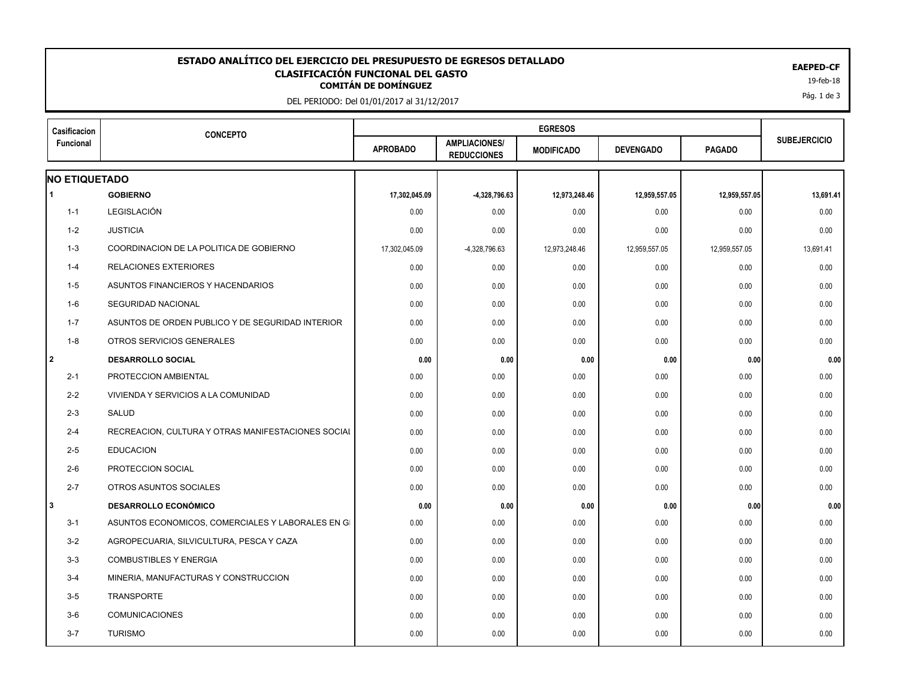## EAEPED-CF<br>CLASIFICACIÓN FUNCIONAL DEL GASTO<br><sup>19-feb-18</sup> **ESTADO ANALÍTICO DEL EJERCICIO DEL PRESUPUESTO DE EGRESOS DETALLADO EAEPED-CF CLASIFICACIÓN FUNCIONAL DEL GASTO**

DEL PERIODO: Del 01/01/2017 al 31/12/2017

| Casificacion         | <b>CONCEPTO</b>                                    |                 |                                            |                   |                  |               |                     |
|----------------------|----------------------------------------------------|-----------------|--------------------------------------------|-------------------|------------------|---------------|---------------------|
| Funcional            |                                                    | <b>APROBADO</b> | <b>AMPLIACIONES/</b><br><b>REDUCCIONES</b> | <b>MODIFICADO</b> | <b>DEVENGADO</b> | <b>PAGADO</b> | <b>SUBEJERCICIO</b> |
| <b>NO ETIQUETADO</b> |                                                    |                 |                                            |                   |                  |               |                     |
| -1                   | <b>GOBIERNO</b>                                    | 17,302,045.09   | -4,328,796.63                              | 12,973,248.46     | 12,959,557.05    | 12,959,557.05 | 13,691.41           |
| $1 - 1$              | LEGISLACIÓN                                        | 0.00            | 0.00                                       | 0.00              | 0.00             | 0.00          | 0.00                |
| $1 - 2$              | <b>JUSTICIA</b>                                    | 0.00            | 0.00                                       | 0.00              | 0.00             | 0.00          | 0.00                |
| $1 - 3$              | COORDINACION DE LA POLITICA DE GOBIERNO            | 17,302,045.09   | -4,328,796.63                              | 12,973,248.46     | 12,959,557.05    | 12,959,557.05 | 13,691.41           |
| $1 - 4$              | <b>RELACIONES EXTERIORES</b>                       | 0.00            | 0.00                                       | 0.00              | 0.00             | 0.00          | 0.00                |
| $1 - 5$              | ASUNTOS FINANCIEROS Y HACENDARIOS                  | 0.00            | 0.00                                       | 0.00              | 0.00             | 0.00          | 0.00                |
| $1-6$                | SEGURIDAD NACIONAL                                 | 0.00            | 0.00                                       | 0.00              | 0.00             | 0.00          | 0.00                |
| $1 - 7$              | ASUNTOS DE ORDEN PUBLICO Y DE SEGURIDAD INTERIOR   | 0.00            | 0.00                                       | 0.00              | 0.00             | 0.00          | 0.00                |
| $1 - 8$              | OTROS SERVICIOS GENERALES                          | 0.00            | 0.00                                       | 0.00              | 0.00             | 0.00          | 0.00                |
| l 2                  | <b>DESARROLLO SOCIAL</b>                           | 0.00            | 0.00                                       | 0.00              | 0.00             | 0.00          | 0.00                |
| $2 - 1$              | PROTECCION AMBIENTAL                               | 0.00            | 0.00                                       | 0.00              | 0.00             | 0.00          | 0.00                |
| $2 - 2$              | VIVIENDA Y SERVICIOS A LA COMUNIDAD                | 0.00            | 0.00                                       | 0.00              | 0.00             | 0.00          | 0.00                |
| $2 - 3$              | SALUD                                              | 0.00            | 0.00                                       | 0.00              | 0.00             | 0.00          | 0.00                |
| $2 - 4$              | RECREACION, CULTURA Y OTRAS MANIFESTACIONES SOCIAL | 0.00            | 0.00                                       | 0.00              | 0.00             | 0.00          | 0.00                |
| $2 - 5$              | <b>EDUCACION</b>                                   | 0.00            | 0.00                                       | 0.00              | 0.00             | 0.00          | 0.00                |
| $2 - 6$              | PROTECCION SOCIAL                                  | 0.00            | 0.00                                       | 0.00              | 0.00             | 0.00          | 0.00                |
| $2 - 7$              | OTROS ASUNTOS SOCIALES                             | 0.00            | 0.00                                       | 0.00              | 0.00             | 0.00          | 0.00                |
| l3                   | <b>DESARROLLO ECONÓMICO</b>                        | 0.00            | 0.00                                       | 0.00              | 0.00             | 0.00          | 0.00                |
| $3 - 1$              | ASUNTOS ECONOMICOS, COMERCIALES Y LABORALES EN GI  | 0.00            | 0.00                                       | 0.00              | 0.00             | 0.00          | 0.00                |
| $3 - 2$              | AGROPECUARIA, SILVICULTURA, PESCA Y CAZA           | 0.00            | 0.00                                       | 0.00              | 0.00             | 0.00          | 0.00                |
| $3-3$                | <b>COMBUSTIBLES Y ENERGIA</b>                      | 0.00            | 0.00                                       | 0.00              | 0.00             | 0.00          | 0.00                |
| $3 - 4$              | MINERIA, MANUFACTURAS Y CONSTRUCCION               | 0.00            | 0.00                                       | 0.00              | 0.00             | 0.00          | 0.00                |
| $3-5$                | <b>TRANSPORTE</b>                                  | 0.00            | 0.00                                       | 0.00              | 0.00             | 0.00          | 0.00                |
| $3-6$                | <b>COMUNICACIONES</b>                              | 0.00            | 0.00                                       | 0.00              | 0.00             | 0.00          | 0.00                |
| $3 - 7$              | <b>TURISMO</b>                                     | 0.00            | 0.00                                       | 0.00              | 0.00             | 0.00          | 0.00                |
|                      |                                                    |                 |                                            |                   |                  |               |                     |

Pág. 1 de 3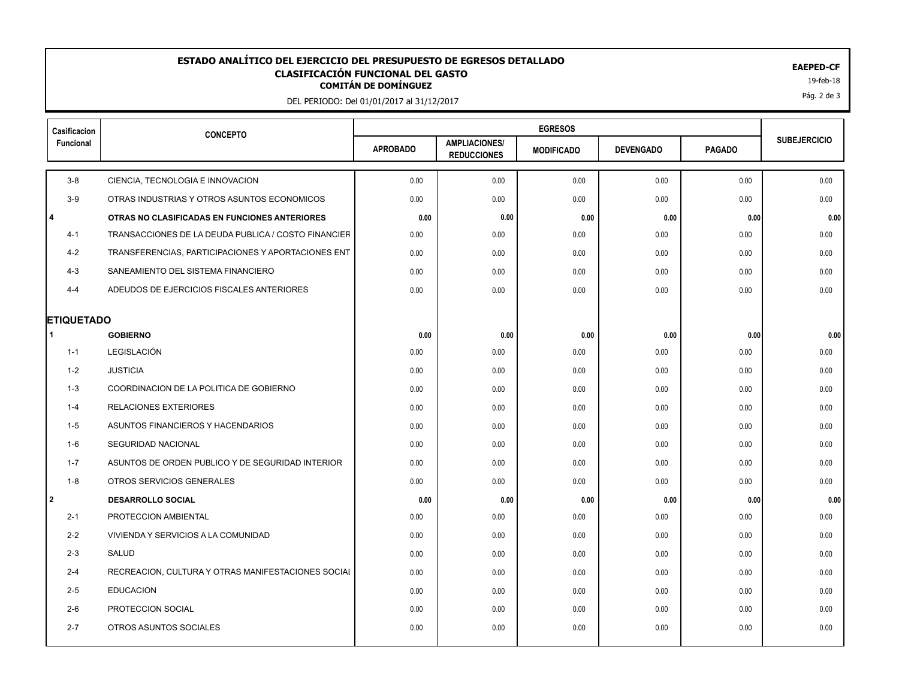## EAEPED-CF<br>CLASIFICACIÓN FUNCIONAL DEL GASTO<br><sup>19-feb-18</sup> **ESTADO ANALÍTICO DEL EJERCICIO DEL PRESUPUESTO DE EGRESOS DETALLADO EAEPED-CF CLASIFICACIÓN FUNCIONAL DEL GASTO**

DEL PERIODO: Del 01/01/2017 al 31/12/2017

| Casificacion      | <b>CONCEPTO</b>                                     |                 |                                            |                   |                  |               |                     |
|-------------------|-----------------------------------------------------|-----------------|--------------------------------------------|-------------------|------------------|---------------|---------------------|
| Funcional         |                                                     | <b>APROBADO</b> | <b>AMPLIACIONES/</b><br><b>REDUCCIONES</b> | <b>MODIFICADO</b> | <b>DEVENGADO</b> | <b>PAGADO</b> | <b>SUBEJERCICIO</b> |
| $3-8$             | CIENCIA, TECNOLOGIA E INNOVACION                    | 0.00            | 0.00                                       | 0.00              | 0.00             | 0.00          | 0.00                |
| $3-9$             | OTRAS INDUSTRIAS Y OTROS ASUNTOS ECONOMICOS         | 0.00            | 0.00                                       | 0.00              | 0.00             | 0.00          | 0.00                |
| l 4               | OTRAS NO CLASIFICADAS EN FUNCIONES ANTERIORES       | 0.00            | 0.00                                       | 0.00              | 0.00             | 0.00          | 0.00                |
| $4 - 1$           | TRANSACCIONES DE LA DEUDA PUBLICA / COSTO FINANCIER | 0.00            | 0.00                                       | 0.00              | 0.00             | 0.00          | 0.00                |
| $4 - 2$           | TRANSFERENCIAS, PARTICIPACIONES Y APORTACIONES ENT  | 0.00            | 0.00                                       | 0.00              | 0.00             | 0.00          | 0.00                |
| $4 - 3$           | SANEAMIENTO DEL SISTEMA FINANCIERO                  | 0.00            | 0.00                                       | 0.00              | 0.00             | 0.00          | 0.00                |
| $4 - 4$           | ADEUDOS DE EJERCICIOS FISCALES ANTERIORES           | 0.00            | 0.00                                       | 0.00              | 0.00             | 0.00          | 0.00                |
| <b>ETIQUETADO</b> |                                                     |                 |                                            |                   |                  |               |                     |
| -1                | <b>GOBIERNO</b>                                     | 0.00            | 0.00                                       | 0.00              | 0.00             | 0.00          | 0.00                |
| $1 - 1$           | LEGISLACIÓN                                         | 0.00            | 0.00                                       | 0.00              | 0.00             | 0.00          | 0.00                |
| $1 - 2$           | <b>JUSTICIA</b>                                     | 0.00            | 0.00                                       | 0.00              | 0.00             | 0.00          | 0.00                |
| $1 - 3$           | COORDINACION DE LA POLITICA DE GOBIERNO             | 0.00            | 0.00                                       | 0.00              | 0.00             | 0.00          | 0.00                |
| $1 - 4$           | <b>RELACIONES EXTERIORES</b>                        | 0.00            | 0.00                                       | 0.00              | 0.00             | 0.00          | 0.00                |
| $1 - 5$           | ASUNTOS FINANCIEROS Y HACENDARIOS                   | 0.00            | 0.00                                       | 0.00              | 0.00             | 0.00          | 0.00                |
| $1-6$             | SEGURIDAD NACIONAL                                  | 0.00            | 0.00                                       | 0.00              | 0.00             | 0.00          | 0.00                |
| $1 - 7$           | ASUNTOS DE ORDEN PUBLICO Y DE SEGURIDAD INTERIOR    | 0.00            | 0.00                                       | 0.00              | 0.00             | 0.00          | 0.00                |
| $1 - 8$           | OTROS SERVICIOS GENERALES                           | 0.00            | 0.00                                       | 0.00              | 0.00             | 0.00          | 0.00                |
| 2                 | <b>DESARROLLO SOCIAL</b>                            | 0.00            | 0.00                                       | 0.00              | 0.00             | 0.00          | 0.00                |
| $2 - 1$           | PROTECCION AMBIENTAL                                | 0.00            | 0.00                                       | 0.00              | 0.00             | 0.00          | 0.00                |
| $2 - 2$           | VIVIENDA Y SERVICIOS A LA COMUNIDAD                 | 0.00            | 0.00                                       | 0.00              | 0.00             | 0.00          | 0.00                |
| $2 - 3$           | SALUD                                               | 0.00            | 0.00                                       | 0.00              | 0.00             | 0.00          | 0.00                |
| $2 - 4$           | RECREACION, CULTURA Y OTRAS MANIFESTACIONES SOCIAL  | 0.00            | 0.00                                       | 0.00              | 0.00             | 0.00          | 0.00                |
| $2 - 5$           | <b>EDUCACION</b>                                    | 0.00            | 0.00                                       | 0.00              | 0.00             | 0.00          | 0.00                |
| $2-6$             | PROTECCION SOCIAL                                   | 0.00            | 0.00                                       | 0.00              | 0.00             | 0.00          | 0.00                |
| $2 - 7$           | OTROS ASUNTOS SOCIALES                              | 0.00            | 0.00                                       | 0.00              | 0.00             | 0.00          | 0.00                |
|                   |                                                     |                 |                                            |                   |                  |               |                     |

Pág. 2 de 3